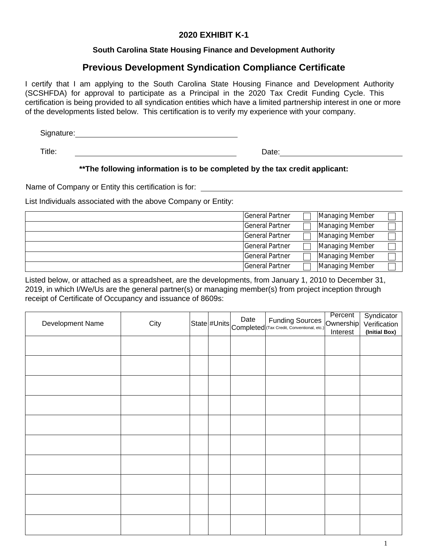## **2020 EXHIBIT K-1**

## **South Carolina State Housing Finance and Development Authority**

# **Previous Development Syndication Compliance Certificate**

I certify that I am applying to the South Carolina State Housing Finance and Development Authority (SCSHFDA) for approval to participate as a Principal in the 2020 Tax Credit Funding Cycle. This certification is being provided to all syndication entities which have a limited partnership interest in one or more of the developments listed below. This certification is to verify my experience with your company.

Signature:

Title:

Date: **Date: Date: Date: Date: Date: Date: Date: Date: Date: Date: Date: Date: Date: Date: Date: Date: Date: Date: Date: Date: Date: Date: Date: Date: Date: Date: Date:**

## **\*\*The following information is to be completed by the tax credit applicant:**

Name of Company or Entity this certification is for:

List Individuals associated with the above Company or Entity:

| <b>IGeneral Partner</b> | Managing Member |  |
|-------------------------|-----------------|--|
| General Partner         | Managing Member |  |
| <b>General Partner</b>  | Managing Member |  |
| General Partner         | Managing Member |  |
| General Partner         | Managing Member |  |
| General Partner         | Managing Member |  |

Listed below, or attached as a spreadsheet, are the developments, from January 1, 2010 to December 31, 2019, in which I/We/Us are the general partner(s) or managing member(s) from project inception through receipt of Certificate of Occupancy and issuance of 8609s:

| Development Name | City |  | State #Units Completed Funding Sources (Completed Carecter Solutional, etc.) | Percent<br>Ownership<br>Interest | Syndicator<br>Verification<br>(Initial Box) |
|------------------|------|--|------------------------------------------------------------------------------|----------------------------------|---------------------------------------------|
|                  |      |  |                                                                              |                                  |                                             |
|                  |      |  |                                                                              |                                  |                                             |
|                  |      |  |                                                                              |                                  |                                             |
|                  |      |  |                                                                              |                                  |                                             |
|                  |      |  |                                                                              |                                  |                                             |
|                  |      |  |                                                                              |                                  |                                             |
|                  |      |  |                                                                              |                                  |                                             |
|                  |      |  |                                                                              |                                  |                                             |
|                  |      |  |                                                                              |                                  |                                             |
|                  |      |  |                                                                              |                                  |                                             |